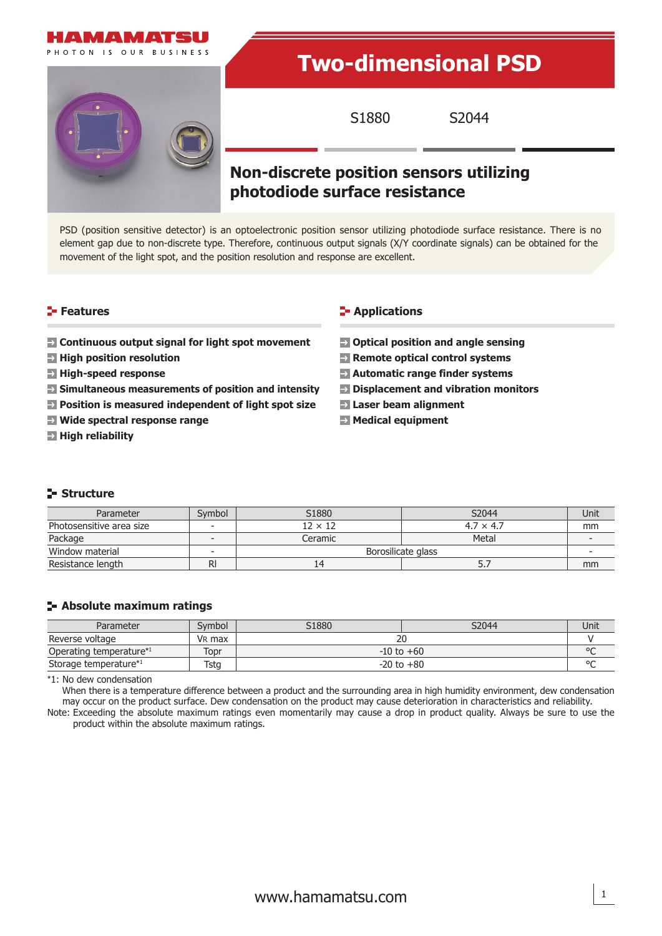

# **Two-dimensional PSD**

S1880 S2044

# **Non-discrete position sensors utilizing photodiode surface resistance**

PSD (position sensitive detector) is an optoelectronic position sensor utilizing photodiode surface resistance. There is no element gap due to non-discrete type. Therefore, continuous output signals (X/Y coordinate signals) can be obtained for the movement of the light spot, and the position resolution and response are excellent.

#### **Features**

- **EX Continuous output signal for light spot movement**
- **High position resolution**
- **High-speed response**
- **Simultaneous measurements of position and intensity**
- **Position is measured independent of light spot size**
- **Wide spectral response range**
- **E** High reliability

#### **E-** Applications

- $\blacksquare$  Optical position and angle sensing
- **Remote optical control systems**
- **Automatic range finder systems**
- **Displacement and vibration monitors**
- **Laser beam alignment**
- **Medical equipment**

#### **Structure**

| Parameter                | Symbol | S1880              | S2044            | Unit |
|--------------------------|--------|--------------------|------------------|------|
| Photosensitive area size |        | $12 \times 12$     | $4.7 \times 4.7$ | mm   |
| Package                  |        | Ceramic            | Metal            |      |
| Window material          |        | Borosilicate glass |                  |      |
| Resistance length        | RI     | 14                 |                  | mm   |

### **Absolute maximum ratings**

| Parameter               | Symbol | S1880          | S2044 | Unit |  |
|-------------------------|--------|----------------|-------|------|--|
| Reverse voltage         | VR max |                |       |      |  |
| Operating temperature*1 | Topr   | $-10$ to $+60$ |       |      |  |
| Storage temperature*1   | Tstg   | $-20$ to $+80$ |       |      |  |

\*1: No dew condensation

When there is a temperature difference between a product and the surrounding area in high humidity environment, dew condensation may occur on the product surface. Dew condensation on the product may cause deterioration in characteristics and reliability. Note: Exceeding the absolute maximum ratings even momentarily may cause a drop in product quality. Always be sure to use the

product within the absolute maximum ratings.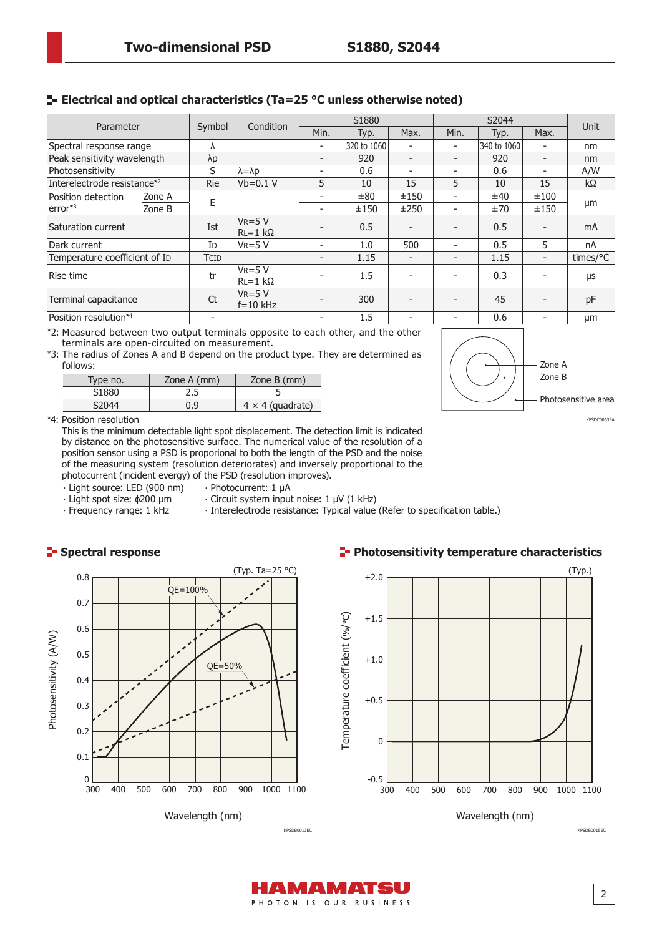# **Electrical and optical characteristics (Ta=25 °C unless otherwise noted)**

| Parameter                     |        | Symbol                   | Condition                      | S1880                    |             | S2044                    |                          |             |                          |             |
|-------------------------------|--------|--------------------------|--------------------------------|--------------------------|-------------|--------------------------|--------------------------|-------------|--------------------------|-------------|
|                               |        |                          |                                | Min.                     | Typ.        | Max.                     | Min.                     | Typ.        | Max.                     | <b>Unit</b> |
| Spectral response range       |        | ٨                        |                                | $\overline{\phantom{0}}$ | 320 to 1060 |                          | $\overline{a}$           | 340 to 1060 |                          | nm          |
| Peak sensitivity wavelength   |        | $\lambda p$              |                                | Ξ.                       | 920         | $\overline{\phantom{0}}$ | $\overline{a}$           | 920         | $\overline{\phantom{a}}$ | nm          |
| Photosensitivity              |        | S                        | $\lambda = \lambda p$          | -                        | 0.6         | $\overline{\phantom{a}}$ | $\overline{\phantom{0}}$ | 0.6         | -                        | A/W         |
| Interelectrode resistance*2   |        | <b>Rie</b>               | Vb=0.1 V                       | 5                        | 10          | 15                       | 5                        | 10          | 15                       | $k\Omega$   |
| Position detection            | Zone A |                          |                                |                          | ±80         | ±150                     | $\overline{a}$           | ±40         | ±100                     |             |
| $error*3$                     | Zone B | Ε                        |                                |                          | ±150        | ±250                     | ٠                        | ±70         | ±150                     | μm          |
| Saturation current            |        | Ist                      | $V_{R=5} V$<br>$ RL=1 k\Omega$ |                          | 0.5         |                          | $\overline{\phantom{0}}$ | 0.5         |                          | mA          |
| Dark current                  |        | I <sub>D</sub>           | $VR = 5V$                      | Ξ.                       | 1.0         | 500                      | $\overline{a}$           | 0.5         | 5                        | nA          |
| Temperature coefficient of ID |        | <b>TCID</b>              |                                | $\overline{\phantom{a}}$ | 1.15        |                          | $\overline{\phantom{0}}$ | 1.15        | $\overline{\phantom{0}}$ | times/°C    |
| Rise time                     |        | tr                       | $VR = 5V$<br>$ RL=1 k\Omega$   |                          | 1.5         |                          | $\overline{a}$           | 0.3         |                          | μs          |
| Terminal capacitance          |        | Ct                       | $V_{R=5} V$<br>$f = 10$ kHz    |                          | 300         |                          |                          | 45          |                          | pF          |
| Position resolution*4         |        | $\overline{\phantom{a}}$ |                                |                          | 1.5         |                          |                          | 0.6         |                          | μm          |

\*2: Measured between two output terminals opposite to each other, and the other terminals are open-circuited on measurement.

\*3: The radius of Zones A and B depend on the product type. They are determined as follows:

| Type no. | Zone A (mm) | Zone $B$ (mm)           |  |  |  |
|----------|-------------|-------------------------|--|--|--|
| S1880    | 2.5         |                         |  |  |  |
| S2044    | 0.9         | $4 \times 4$ (quadrate) |  |  |  |

\*4: Position resolution

This is the minimum detectable light spot displacement. The detection limit is indicated by distance on the photosensitive surface. The numerical value of the resolution of a position sensor using a PSD is proporional to both the length of the PSD and the noise of the measuring system (resolution deteriorates) and inversely proportional to the photocurrent (incident evergy) of the PSD (resolution improves).

⸱ Light source: LED (900 nm)

- ⸱ Light spot size: ϕ200 µm ⸱ Photocurrent: 1 µA
	- ⸱ Circuit system input noise: 1 µV (1 kHz)
- ⸱ Frequency range: 1 kHz
- 
- ⸱ Interelectrode resistance: Typical value (Refer to specification table.)



#### **Photosensitivity temperature characteristics**



Wavelength (nm)

KPSDC0063EA Photosensitive area Zone B Zone A



2

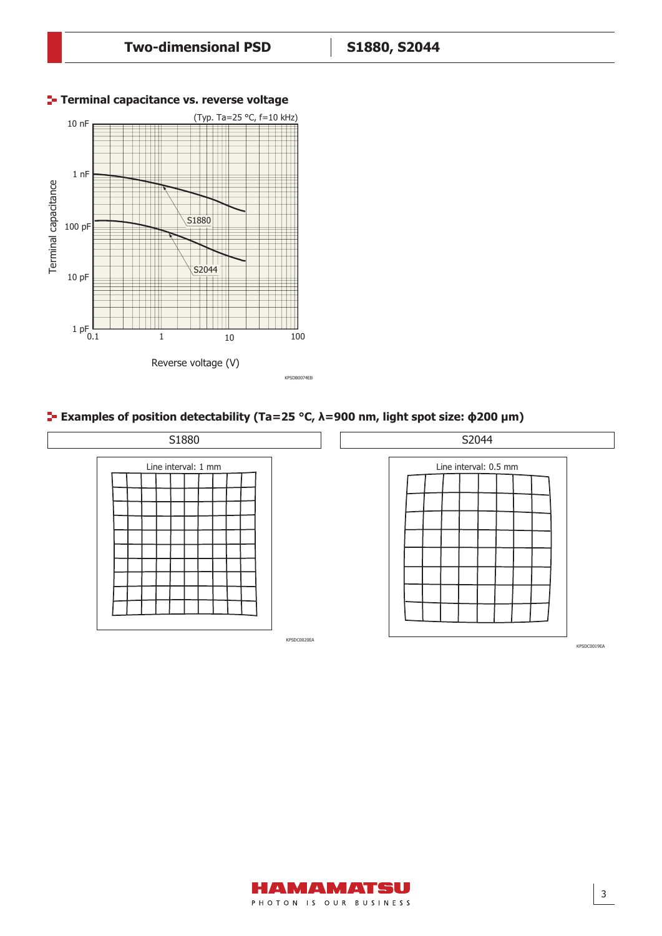

#### **Terminal capacitance vs. reverse voltage**

#### **Examples of position detectability (Ta=25 °C, λ=900 nm, light spot size: ϕ200 µm)**



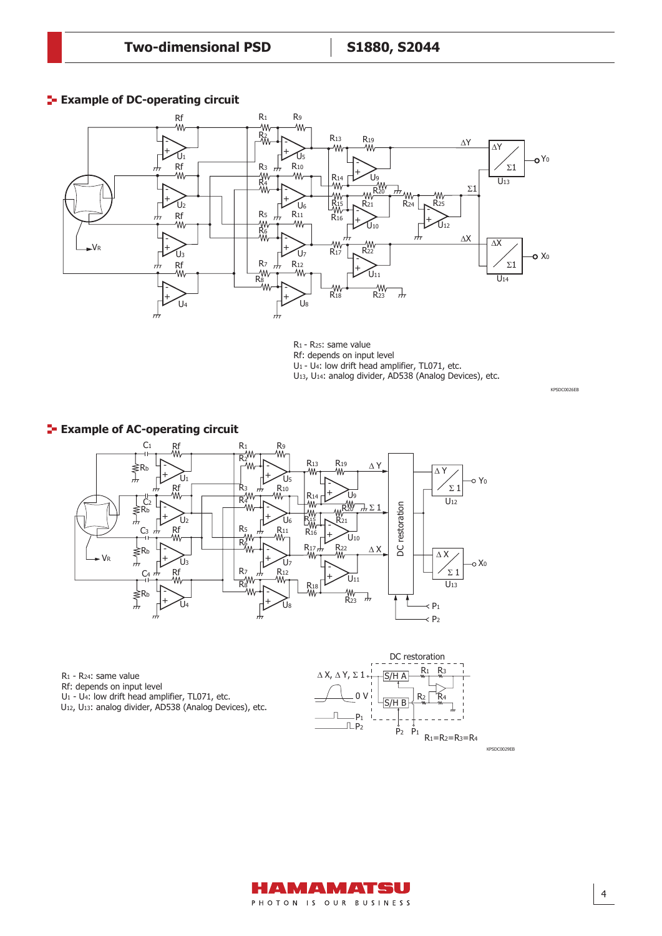#### **Example of DC-operating circuit**



R1 - R25: same value

Rf: depends on input level

U1 - U4: low drift head amplifier, TL071, etc.

U13, U14: analog divider, AD538 (Analog Devices), etc.



R1 - R24: same value

Rf: depends on input level

U1 - U4: low drift head amplifier, TL071, etc.

U12, U13: analog divider, AD538 (Analog Devices), etc.





KPSDC0026EB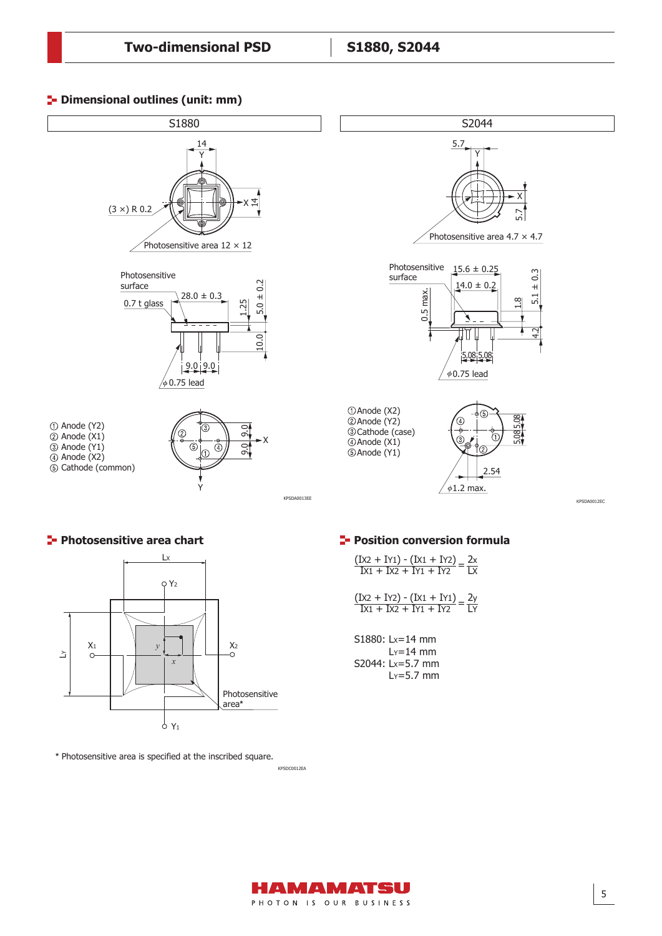Dimensional outline (S2044, unit: mm)

#### **<sup>1</sup>** Dimensional outlines (unit: mm)





**\*** Photosensitive area is specified at the inscribed square.

KPSDC0012EA

 $\frac{(Ix2 + IY1) - (Ix1 + IY2)}{Ix1 + IX2 + IY1 + IY2} =$ 2x LX

 $\frac{(1 \times 2 + 1 \times 2) - (1 \times 1 + 1 \times 1)}{1 \times 1 + 1 \times 2 + 1 \times 1 + 1 \times 2} = \frac{2y}{1 \times 1}$  $IX1 + IX2 + IY1 + IY2$ LY

> S1880: Lx=14 mm  $Ly=14$  mm S2044: Lx=5.7 mm  $Ly = 5.7$  mm